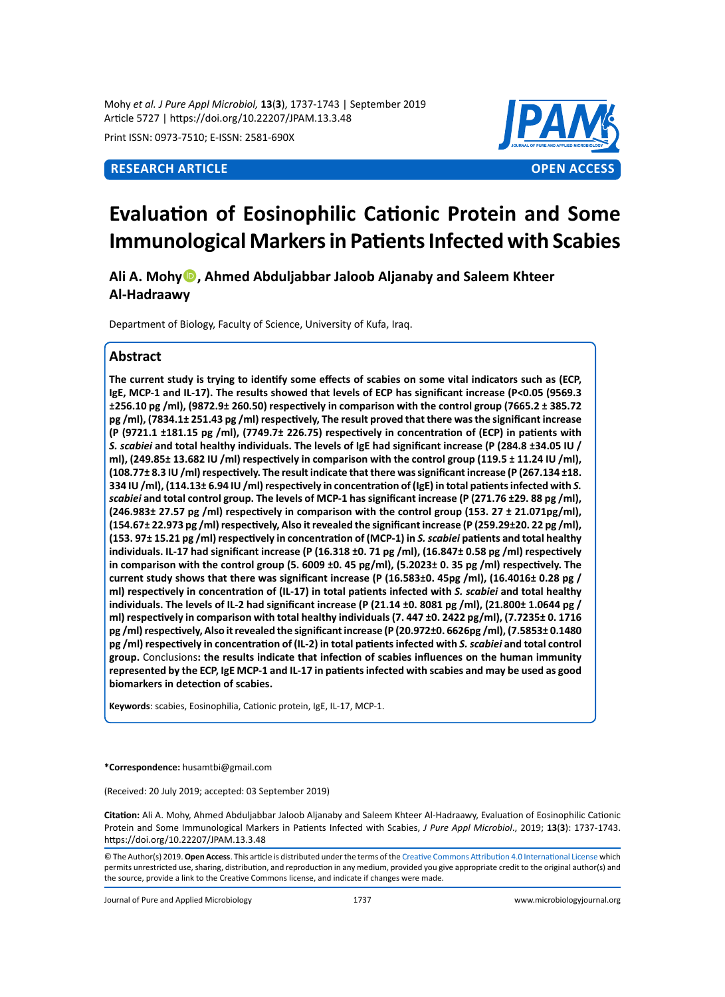Mohy *et al. J Pure Appl Microbiol,* **13**(**3**), 1737-1743 | September 2019 Article 5727 | https://doi.org/10.22207/JPAM.13.3.48

Print ISSN: 0973-7510; E-ISSN: 2581-690X



# **Evaluation of Eosinophilic Cationic Protein and Some Immunological Markers in Patients Infected with Scabies**

**Ali A. Mohy, Ahmed Abduljabbar Jaloob Aljanaby and Saleem Khteer Al-Hadraawy**

Department of Biology, Faculty of Science, University of Kufa, Iraq.

# **Abstract**

**The current study is trying to identify some effects of scabies on some vital indicators such as (ECP, IgE, MCP-1 and IL-17). The results showed that levels of ECP has significant increase (P<0.05 (9569.3 ±256.10 pg /ml), (9872.9± 260.50) respectively in comparison with the control group (7665.2 ± 385.72 pg /ml), (7834.1± 251.43 pg /ml) respectively, The result proved that there was the significant increase (P (9721.1 ±181.15 pg /ml), (7749.7± 226.75) respectively in concentration of (ECP) in patients with**  *S. scabiei* **and total healthy individuals. The levels of IgE had significant increase (P (284.8 ±34.05 IU / ml), (249.85± 13.682 IU /ml) respectively in comparison with the control group (119.5 ± 11.24 IU /ml), (108.77± 8.3 IU /ml) respectively. The result indicate that there was significant increase (P (267.134 ±18. 334 IU /ml), (114.13± 6.94 IU /ml) respectively in concentration of (IgE) in total patients infected with** *S. scabiei* **and total control group. The levels of MCP-1 has significant increase (P (271.76 ±29. 88 pg /ml), (246.983± 27.57 pg /ml) respectively in comparison with the control group (153. 27 ± 21.071pg/ml), (154.67± 22.973 pg /ml) respectively, Also it revealed the significant increase (P (259.29±20. 22 pg /ml), (153. 97± 15.21 pg /ml) respectively in concentration of (MCP-1) in** *S. scabiei* **patients and total healthy individuals. IL-17 had significant increase (P (16.318 ±0. 71 pg /ml), (16.847± 0.58 pg /ml) respectively in comparison with the control group (5. 6009 ±0. 45 pg/ml), (5.2023± 0. 35 pg /ml) respectively. The current study shows that there was significant increase (P (16.583±0. 45pg /ml), (16.4016± 0.28 pg / ml) respectively in concentration of (IL-17) in total patients infected with** *S. scabiei* **and total healthy individuals. The levels of IL-2 had significant increase (P (21.14 ±0. 8081 pg /ml), (21.800± 1.0644 pg / ml) respectively in comparison with total healthy individuals (7. 447 ±0. 2422 pg/ml), (7.7235± 0. 1716 pg /ml) respectively, Also it revealed the significant increase (P (20.972±0. 6626pg /ml), (7.5853± 0.1480 pg /ml) respectively in concentration of (IL-2) in total patients infected with** *S. scabiei* **and total control group.** Conclusions**: the results indicate that infection of scabies influences on the human immunity represented by the ECP, IgE MCP-1 and IL-17 in patients infected with scabies and may be used as good biomarkers in detection of scabies.**

**Keywords**: scabies, Eosinophilia, Cationic protein, IgE, IL-17, MCP-1.

**\*Correspondence:** husamtbi@gmail.com

(Received: 20 July 2019; accepted: 03 September 2019)

**Citation:** Ali A. Mohy, Ahmed Abduljabbar Jaloob Aljanaby and Saleem Khteer Al-Hadraawy, Evaluation of Eosinophilic Cationic Protein and Some Immunological Markers in Patients Infected with Scabies, *J Pure Appl Microbiol*., 2019; **13**(**3**): 1737-1743. https://doi.org/10.22207/JPAM.13.3.48

Journal of Pure and Applied Microbiology 1737 www.microbiologyjournal.org

<sup>©</sup> The Author(s) 2019. **Open Access**. This article is distributed under the terms of the [Creative Commons Attribution 4.0 International License](https://creativecommons.org/licenses/by/4.0/) which permits unrestricted use, sharing, distribution, and reproduction in any medium, provided you give appropriate credit to the original author(s) and the source, provide a link to the Creative Commons license, and indicate if changes were made.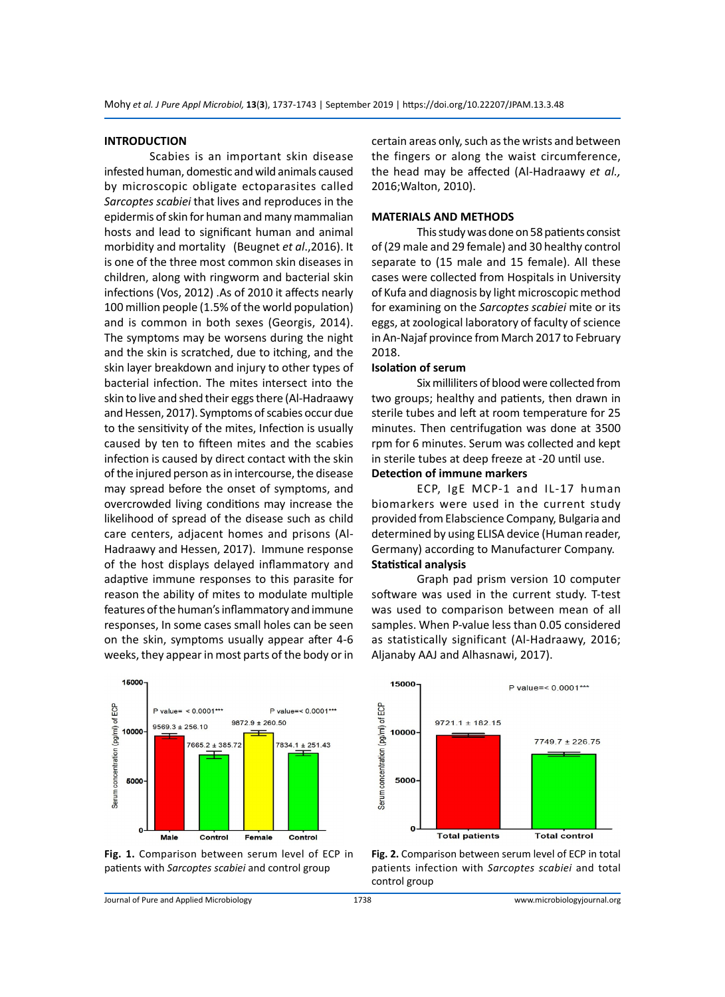#### **INTRODUCTION**

Scabies is an important skin disease infested human, domestic and wild animals caused by microscopic obligate ectoparasites called *Sarcoptes scabiei* that lives and reproduces in the epidermis of skin for human and many mammalian hosts and lead to significant human and animal morbidity and mortality (Beugnet *et al*.,2016). It is one of the three most common skin diseases in children, along with ringworm and bacterial skin infections (Vos, 2012) .As of 2010 it affects nearly 100 million people (1.5% of the world population) and is common in both sexes (Georgis, 2014). The symptoms may be worsens during the night and the skin is scratched, due to itching, and the skin layer breakdown and injury to other types of bacterial infection. The mites intersect into the skin to live and shed their eggs there (Al-Hadraawy and Hessen, 2017). Symptoms of scabies occur due to the sensitivity of the mites, Infection is usually caused by ten to fifteen mites and the scabies infection is caused by direct contact with the skin of the injured person as in intercourse, the disease may spread before the onset of symptoms, and overcrowded living conditions may increase the likelihood of spread of the disease such as child care centers, adjacent homes and prisons (Al-Hadraawy and Hessen, 2017). Immune response of the host displays delayed inflammatory and adaptive immune responses to this parasite for reason the ability of mites to modulate multiple features of the human's inflammatory and immune responses, In some cases small holes can be seen on the skin, symptoms usually appear after 4-6 weeks, they appear in most parts of the body or in



**Fig. 1.** Comparison between serum level of ECP in patients with *Sarcoptes scabiei* and control group

certain areas only, such as the wrists and between the fingers or along the waist circumference, the head may be affected (Al-Hadraawy *et al.,* 2016;Walton, 2010).

#### **MATERIALS AND METHODS**

This study was done on 58 patients consist of (29 male and 29 female) and 30 healthy control separate to (15 male and 15 female). All these cases were collected from Hospitals in University of Kufa and diagnosis by light microscopic method for examining on the *Sarcoptes scabiei* mite or its eggs, at zoological laboratory of faculty of science in An-Najaf province from March 2017 to February 2018.

#### **Isolation of serum**

Six milliliters of blood were collected from two groups; healthy and patients, then drawn in sterile tubes and left at room temperature for 25 minutes. Then centrifugation was done at 3500 rpm for 6 minutes. Serum was collected and kept in sterile tubes at deep freeze at -20 until use. **Detection of immune markers**

# ECP, IgE MCP-1 and IL-17 human biomarkers were used in the current study provided from Elabscience Company, Bulgaria and determined by using ELISA device (Human reader, Germany) according to Manufacturer Company. **Statistical analysis**

Graph pad prism version 10 computer software was used in the current study. T-test was used to comparison between mean of all samples. When P-value less than 0.05 considered as statistically significant (Al-Hadraawy, 2016; Aljanaby AAJ and Alhasnawi, 2017).



**Fig. 2.** Comparison between serum level of ECP in total patients infection with *Sarcoptes scabiei* and total control group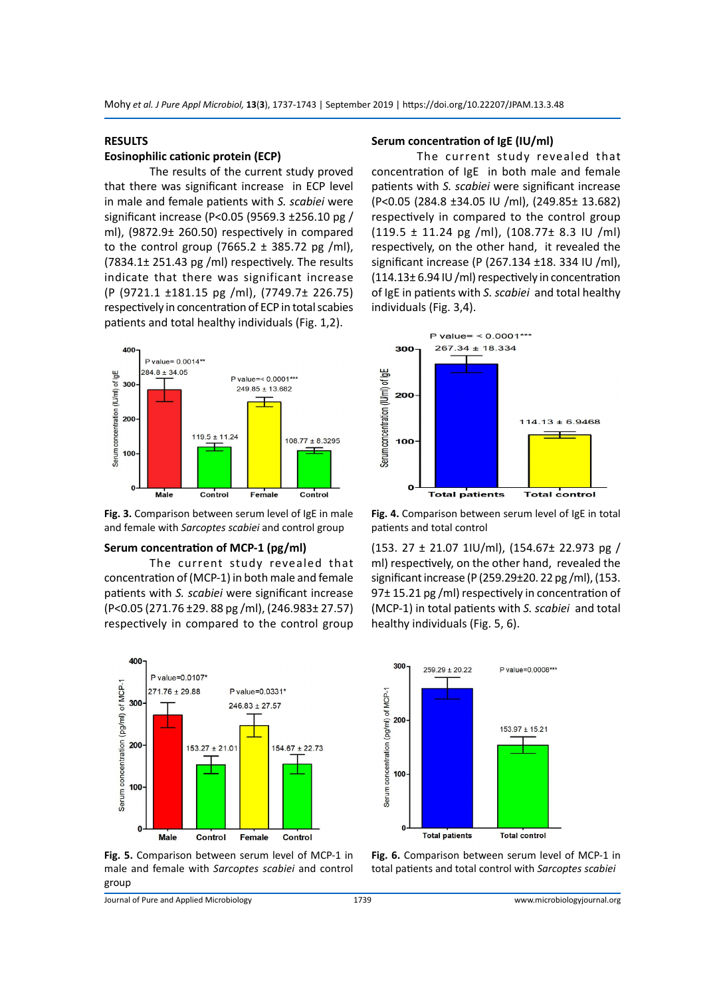### **RESULTS**

#### **Eosinophilic cationic protein (ECP)**

The results of the current study proved that there was significant increase in ECP level in male and female patients with *S. scabiei* were significant increase (P<0.05 (9569.3 ±256.10 pg / ml), (9872.9± 260.50) respectively in compared to the control group (7665.2  $\pm$  385.72 pg /ml), (7834.1± 251.43 pg /ml) respectively. The results indicate that there was significant increase (P (9721.1 ±181.15 pg /ml), (7749.7± 226.75) respectively in concentration of ECP in total scabies patients and total healthy individuals (Fig. 1,2).



**Fig. 3.** Comparison between serum level of IgE in male and female with *Sarcoptes scabiei* and control group

#### **Serum concentration of MCP-1 (pg/ml)**

The current study revealed that concentration of (MCP-1) in both male and female patients with *S. scabiei* were significant increase (P<0.05 (271.76 ±29. 88 pg /ml), (246.983± 27.57) respectively in compared to the control group



**Fig. 5.** Comparison between serum level of MCP-1 in male and female with *Sarcoptes scabiei* and control group

#### **Serum concentration of IgE (IU/ml)**

The current study revealed that concentration of IgE in both male and female patients with *S. scabiei* were significant increase (P<0.05 (284.8 ±34.05 IU /ml), (249.85± 13.682) respectively in compared to the control group (119.5 ± 11.24 pg /ml), (108.77± 8.3 IU /ml) respectively, on the other hand, it revealed the significant increase (P (267.134 ±18. 334 IU /ml), (114.13± 6.94 IU /ml) respectively in concentration of IgE in patients with *S. scabiei* and total healthy individuals (Fig. 3,4).



**Fig. 4.** Comparison between serum level of IgE in total patients and total control

(153. 27 ± 21.07 1IU/ml), (154.67± 22.973 pg / ml) respectively, on the other hand, revealed the significant increase (P (259.29±20. 22 pg /ml), (153. 97± 15.21 pg /ml) respectively in concentration of (MCP-1) in total patients with *S. scabiei* and total healthy individuals (Fig. 5, 6).



**Fig. 6.** Comparison between serum level of MCP-1 in total patients and total control with *Sarcoptes scabiei*

Journal of Pure and Applied Microbiology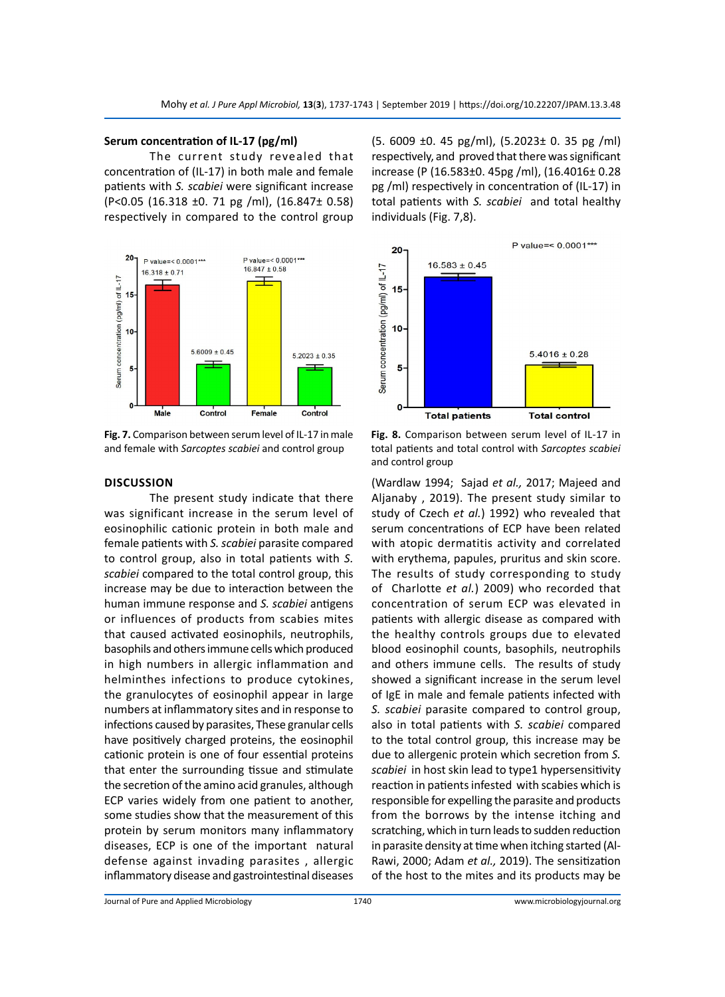#### **Serum concentration of IL-17 (pg/ml)**

The current study revealed that concentration of (IL-17) in both male and female patients with *S. scabiei* were significant increase (P<0.05 (16.318 ±0. 71 pg /ml), (16.847± 0.58) respectively in compared to the control group



**Fig. 7.** Comparison between serum level of IL-17 in male and female with *Sarcoptes scabiei* and control group

(5. 6009 ±0. 45 pg/ml), (5.2023± 0. 35 pg /ml) respectively, and proved that there was significant increase (P (16.583±0. 45pg /ml), (16.4016± 0.28 pg /ml) respectively in concentration of (IL-17) in total patients with *S. scabiei* and total healthy individuals (Fig. 7,8).



#### **Discussion**

The present study indicate that there was significant increase in the serum level of eosinophilic cationic protein in both male and female patients with *S. scabiei* parasite compared to control group, also in total patients with *S. scabiei* compared to the total control group, this increase may be due to interaction between the human immune response and *S. scabiei* antigens or influences of products from scabies mites that caused activated eosinophils, neutrophils, basophils and others immune cells which produced in high numbers in allergic inflammation and helminthes infections to produce cytokines, the granulocytes of eosinophil appear in large numbers at inflammatory sites and in response to infections caused by parasites, These granular cells have positively charged proteins, the eosinophil cationic protein is one of four essential proteins that enter the surrounding tissue and stimulate the secretion of the amino acid granules, although ECP varies widely from one patient to another, some studies show that the measurement of this protein by serum monitors many inflammatory diseases, ECP is one of the important natural defense against invading parasites , allergic inflammatory disease and gastrointestinal diseases

**Fig. 8.** Comparison between serum level of IL-17 in total patients and total control with *Sarcoptes scabiei* and control group

(Wardlaw 1994; Sajad *et al.,* 2017; Majeed and Aljanaby , 2019). The present study similar to study of Czech *et al.*) 1992) who revealed that serum concentrations of ECP have been related with atopic dermatitis activity and correlated with erythema, papules, pruritus and skin score. The results of study corresponding to study of Charlotte *et al.*) 2009) who recorded that concentration of serum ECP was elevated in patients with allergic disease as compared with the healthy controls groups due to elevated blood eosinophil counts, basophils, neutrophils and others immune cells. The results of study showed a significant increase in the serum level of IgE in male and female patients infected with *S. scabiei* parasite compared to control group, also in total patients with *S. scabiei* compared to the total control group, this increase may be due to allergenic protein which secretion from *S. scabiei* in host skin lead to type1 hypersensitivity reaction in patients infested with scabies which is responsible for expelling the parasite and products from the borrows by the intense itching and scratching, which in turn leads to sudden reduction in parasite density at time when itching started (Al-Rawi, 2000; Adam *et al.,* 2019). The sensitization of the host to the mites and its products may be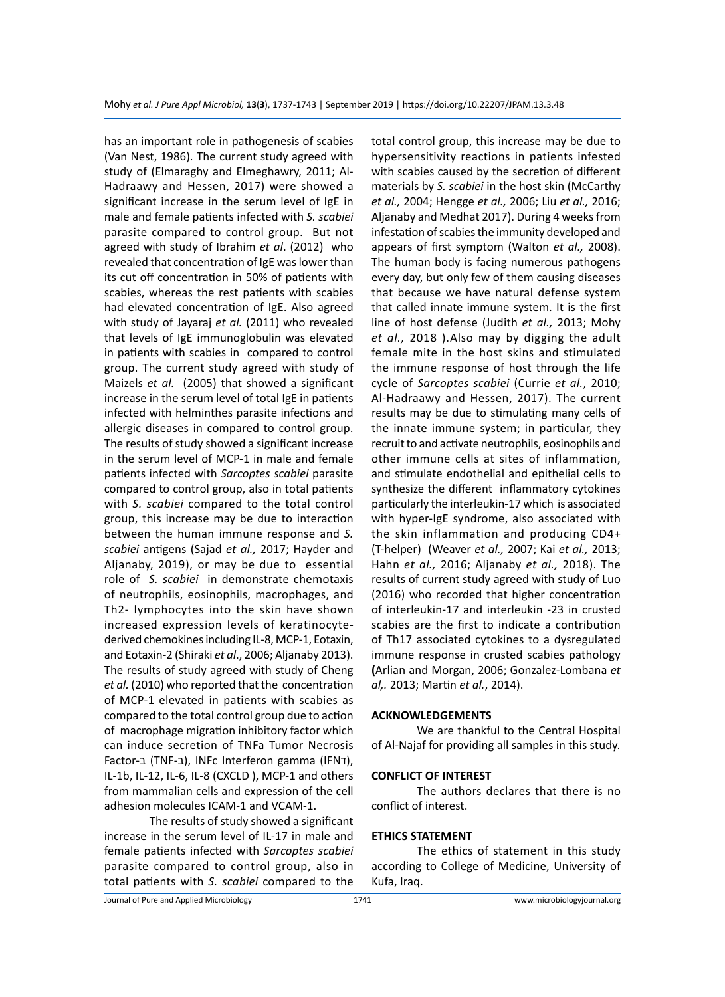has an important role in pathogenesis of scabies (Van Nest, 1986). The current study agreed with study of (Elmaraghy and Elmeghawry, 2011; Al-Hadraawy and Hessen, 2017) were showed a significant increase in the serum level of IgE in male and female patients infected with *S. scabiei*  parasite compared to control group. But not agreed with study of Ibrahim *et al*. (2012) who revealed that concentration of IgE was lower than its cut off concentration in 50% of patients with scabies, whereas the rest patients with scabies had elevated concentration of IgE. Also agreed with study of Jayaraj *et al.* (2011) who revealed that levels of IgE immunoglobulin was elevated in patients with scabies in compared to control group. The current study agreed with study of Maizels *et al.* (2005) that showed a significant increase in the serum level of total IgE in patients infected with helminthes parasite infections and allergic diseases in compared to control group. The results of study showed a significant increase in the serum level of MCP-1 in male and female patients infected with *Sarcoptes scabiei* parasite compared to control group, also in total patients with *S. scabiei* compared to the total control group, this increase may be due to interaction between the human immune response and *S. scabiei* antigens (Sajad *et al.,* 2017; Hayder and Aljanaby, 2019), or may be due to essential role of *S. scabiei* in demonstrate chemotaxis of neutrophils, eosinophils, macrophages, and Th2- lymphocytes into the skin have shown increased expression levels of keratinocytederived chemokines including IL-8, MCP-1, Eotaxin, and Eotaxin-2 (Shiraki *et al*., 2006; Aljanaby 2013). The results of study agreed with study of Cheng *et al.* (2010) who reported that the concentration of MCP-1 elevated in patients with scabies as compared to the total control group due to action of macrophage migration inhibitory factor which can induce secretion of TNFa Tumor Necrosis Factor-ב), INFc Interferon gamma (IFNT), IL-1b, IL-12, IL-6, IL-8 (CXCLD ), MCP-1 and others from mammalian cells and expression of the cell adhesion molecules ICAM-1 and VCAM-1.

The results of study showed a significant increase in the serum level of IL-17 in male and female patients infected with *Sarcoptes scabiei*  parasite compared to control group, also in total patients with *S. scabiei* compared to the total control group, this increase may be due to hypersensitivity reactions in patients infested with scabies caused by the secretion of different materials by *S. scabiei* in the host skin (McCarthy *et al.,* 2004; Hengge *et al.,* 2006; Liu *et al.,* 2016; Aljanaby and Medhat 2017). During 4 weeks from infestation of scabies the immunity developed and appears of first symptom (Walton *et al.,* 2008). The human body is facing numerous pathogens every day, but only few of them causing diseases that because we have natural defense system that called innate immune system. It is the first line of host defense (Judith *et al.,* 2013; Mohy *et al.,* 2018 ).Also may by digging the adult female mite in the host skins and stimulated the immune response of host through the life cycle of *Sarcoptes scabiei* (Currie *et al.*, 2010; Al-Hadraawy and Hessen, 2017). The current results may be due to stimulating many cells of the innate immune system; in particular, they recruit to and activate neutrophils, eosinophils and other immune cells at sites of inflammation, and stimulate endothelial and epithelial cells to synthesize the different inflammatory cytokines particularly the interleukin-17 which is associated with hyper-IgE syndrome, also associated with the skin inflammation and producing CD4+ (T-helper) (Weaver *et al.,* 2007; Kai *et al.,* 2013; Hahn *et al.,* 2016; Aljanaby *et al.,* 2018). The results of current study agreed with study of Luo (2016) who recorded that higher concentration of interleukin-17 and interleukin -23 in crusted scabies are the first to indicate a contribution of Th17 associated cytokines to a dysregulated immune response in crusted scabies pathology **(**Arlian and Morgan, 2006; Gonzalez-Lombana *et al,.* 2013; Martin *et al.*, 2014).

#### **ACKNOWLEDGEMENTS**

We are thankful to the Central Hospital of Al-Najaf for providing all samples in this study.

#### **CONFLICT OF INTEREST**

The authors declares that there is no conflict of interest.

#### **ETHICS STATEMENT**

The ethics of statement in this study according to College of Medicine, University of Kufa, Iraq.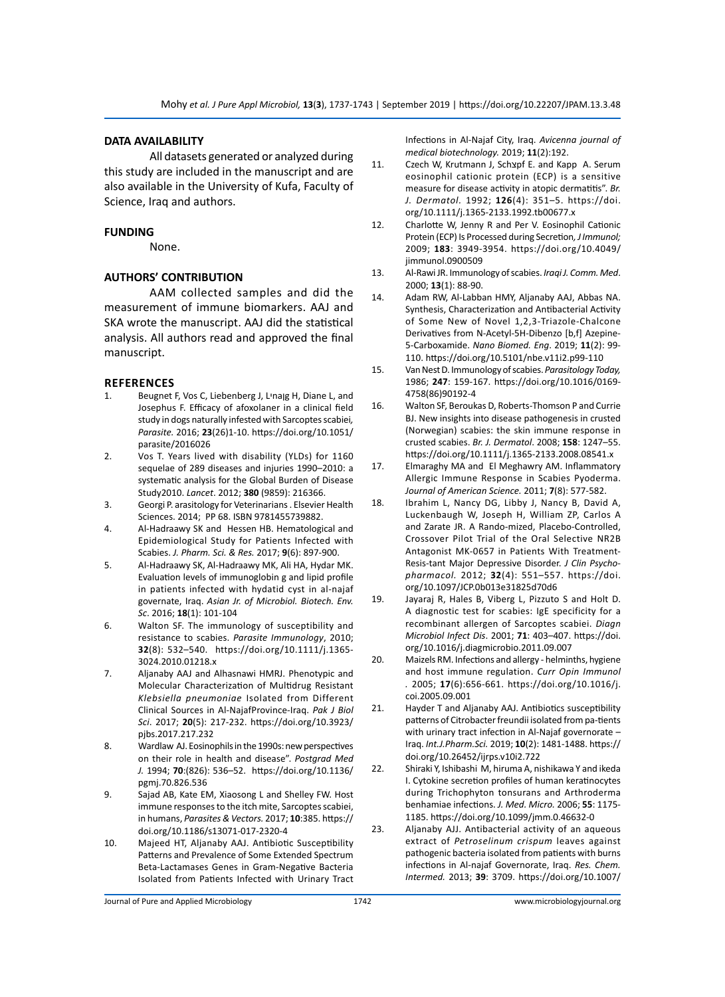# **DATA AVAILABILITY**

All datasets generated or analyzed during this study are included in the manuscript and are also available in the University of Kufa, Faculty of Science, Iraq and authors.

#### **FUNDING**

None.

# **AUTHORS' CONTRIBUTION**

AAM collected samples and did the measurement of immune biomarkers. AAJ and SKA wrote the manuscript. AAJ did the statistical analysis. All authors read and approved the final manuscript.

#### **REFERENCES**

- 1. Beugnet F, Vos C, Liebenberg J, Lיnaןg H, Diane L, and Josephus F. Efficacy of afoxolaner in a clinical field study in dogs naturally infested with Sarcoptes scabiei*, Parasite.* 2016; **23**(26)1-10. https://doi.org/10.1051/ parasite/2016026
- 2. Vos T. Years lived with disability (YLDs) for 1160 sequelae of 289 diseases and injuries 1990–2010: a systematic analysis for the Global Burden of Disease Study2010. *Lancet*. 2012; **380** (9859): 216366.
- 3. Georgi P. arasitology for Veterinarians . Elsevier Health Sciences. 2014; PP 68. ISBN 9781455739882.
- 4. Al-Hadraawy SK and Hessen HB. Hematological and Epidemiological Study for Patients Infected with Scabies. *J. Pharm. Sci. & Res.* 2017; **9**(6): 897-900.
- 5. Al-Hadraawy SK, Al-Hadraawy MK, Ali HA, Hydar MK. Evaluation levels of immunoglobin g and lipid profile in patients infected with hydatid cyst in al-najaf governate, Iraq. *Asian Jr. of Microbiol. Biotech. Env. Sc*. 2016; **18**(1): 101-104
- 6. Walton SF. The immunology of susceptibility and resistance to scabies. *Parasite Immunology*, 2010; **32**(8): 532–540. https://doi.org/10.1111/j.1365- 3024.2010.01218.x
- 7. Aljanaby AAJ and Alhasnawi HMRJ. Phenotypic and Molecular Characterization of Multidrug Resistant *Klebsiella pneumoniae* Isolated from Different Clinical Sources in Al-NajafProvince-Iraq. *Pak J Biol Sci*. 2017; **20**(5): 217-232. https://doi.org/10.3923/ pjbs.2017.217.232
- 8. Wardlaw AJ. Eosinophils in the 1990s: new perspectives on their role in health and disease". *Postgrad Med J.* 1994; **70**:(826): 536–52. https://doi.org/10.1136/ pgmj.70.826.536
- 9. Sajad AB, Kate EM, Xiaosong L and Shelley FW. Host immune responses to the itch mite, Sarcoptes scabiei, in humans, *Parasites & Vectors.* 2017; **10**:385. https:// doi.org/10.1186/s13071-017-2320-4
- 10. Majeed HT, Aljanaby AAJ. Antibiotic Susceptibility Patterns and Prevalence of Some Extended Spectrum Beta-Lactamases Genes in Gram-Negative Bacteria Isolated from Patients Infected with Urinary Tract

Infections in Al-Najaf City, Iraq. *Avicenna journal of medical biotechnology.* 2019; **11**(2):192.

- 11. Czech W, Krutmann J, Schצpf E. and Kapp A. Serum eosinophil cationic protein (ECP) is a sensitive measure for disease activity in atopic dermatitis". *Br. J. Dermatol.* 1992; **126**(4): 351–5. https://doi. org/10.1111/j.1365-2133.1992.tb00677.x
- 12. Charlotte W, Jenny R and Per V. Eosinophil Cationic Protein (ECP) Is Processed during Secretion*, J Immunol;*  2009; **183**: 3949-3954. https://doi.org/10.4049/ jimmunol.0900509
- 13. Al-Rawi JR. Immunology of scabies. *Iraqi J. Comm. Med*. 2000; **13**(1): 88-90.
- 14. Adam RW, Al-Labban HMY, Aljanaby AAJ, Abbas NA. Synthesis, Characterization and Antibacterial Activity of Some New of Novel 1,2,3-Triazole-Chalcone Derivatives from N-Acetyl-5H-Dibenzo [b,f] Azepine-5-Carboxamide. *Nano Biomed. Eng*. 2019; **11**(2): 99- 110. https://doi.org/10.5101/nbe.v11i2.p99-110
- 15. Van Nest D. Immunology of scabies. *Parasitology Today,*  1986; **247**: 159-167. https://doi.org/10.1016/0169- 4758(86)90192-4
- 16. Walton SF, Beroukas D, Roberts-Thomson P and Currie BJ. New insights into disease pathogenesis in crusted (Norwegian) scabies: the skin immune response in crusted scabies. *Br. J. Dermatol*. 2008; **158**: 1247–55. https://doi.org/10.1111/j.1365-2133.2008.08541.x
- 17. Elmaraghy MA and El Meghawry AM. Inflammatory Allergic Immune Response in Scabies Pyoderma. *Journal of American Science.* 2011; **7**(8): 577-582.
- 18. Ibrahim L, Nancy DG, Libby J, Nancy B, David A, Luckenbaugh W, Joseph H, William ZP, Carlos A and Zarate JR. A Rando-mized, Placebo-Controlled, Crossover Pilot Trial of the Oral Selective NR2B Antagonist MK-0657 in Patients With Treatment-Resis-tant Major Depressive Disorder. *J Clin Psychopharmacol.* 2012; **32**(4): 551–557. https://doi. org/10.1097/JCP.0b013e31825d70d6
- 19. Jayaraj R, Hales B, Viberg L, Pizzuto S and Holt D. A diagnostic test for scabies: IgE specificity for a recombinant allergen of Sarcoptes scabiei. *Diagn Microbiol Infect Dis*. 2001; **71**: 403–407. https://doi. org/10.1016/j.diagmicrobio.2011.09.007
- 20. Maizels RM. Infections and allergy helminths, hygiene and host immune regulation. *Curr Opin Immunol .* 2005; **17**(6):656-661. https://doi.org/10.1016/j. coi.2005.09.001
- 21. Hayder T and Aljanaby AAJ. Antibiotics susceptibility patterns of Citrobacter freundii isolated from pa-tients with urinary tract infection in Al-Najaf governorate – Iraq. *Int.J.Pharm.Sci.* 2019; **10**(2): 1481-1488. https:// doi.org/10.26452/ijrps.v10i2.722
- 22. Shiraki Y, Ishibashi M, hiruma A, nishikawa Y and ikeda I. Cytokine secretion profiles of human keratinocytes during Trichophyton tonsurans and Arthroderma benhamiae infections. *J. Med. Micro.* 2006; **55**: 1175- 1185. https://doi.org/10.1099/jmm.0.46632-0
- 23. Aljanaby AJJ. Antibacterial activity of an aqueous extract of *Petroselinum crispum* leaves against pathogenic bacteria isolated from patients with burns infections in Al-najaf Governorate, Iraq. *Res. Chem. Intermed.* 2013; **39**: 3709. https://doi.org/10.1007/